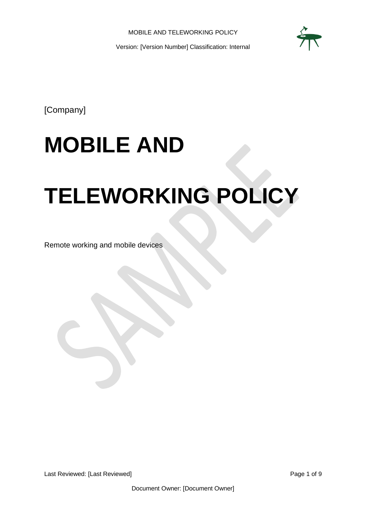

[Company]

# **MOBILE AND**

# **TELEWORKING POLICY**

Remote working and mobile devices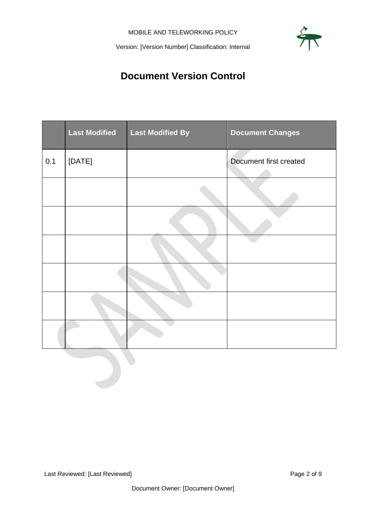

# **Document Version Control**

<span id="page-1-0"></span>

|     | <b>Last Modified</b> | <b>Last Modified By</b> | <b>Document Changes</b> |
|-----|----------------------|-------------------------|-------------------------|
| 0.1 | [DATE]               |                         | Document first created  |
|     |                      |                         |                         |
|     |                      |                         |                         |
|     |                      |                         |                         |
|     |                      |                         |                         |
|     |                      |                         |                         |
|     |                      |                         |                         |
|     |                      |                         |                         |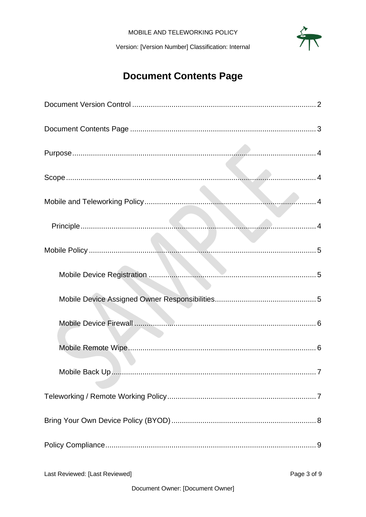# **Document Contents Page**

<span id="page-2-0"></span>

| . 7                                           |  |  |  |
|-----------------------------------------------|--|--|--|
|                                               |  |  |  |
|                                               |  |  |  |
|                                               |  |  |  |
| Last Reviewed: [Last Reviewed]<br>Page 3 of 9 |  |  |  |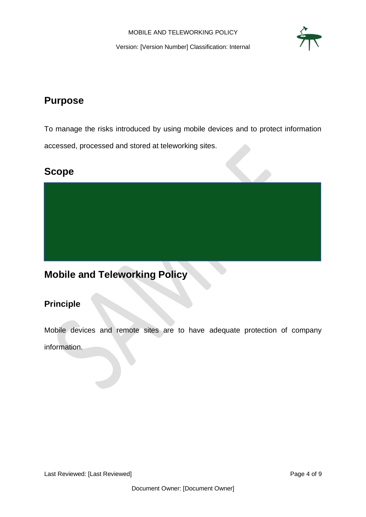

## <span id="page-3-0"></span>**Purpose**

To manage the risks introduced by using mobile devices and to protect information accessed, processed and stored at teleworking sites.

### <span id="page-3-1"></span>**Scope**

# <span id="page-3-2"></span>**Mobile and Teleworking Policy**

### <span id="page-3-3"></span>**Principle**

Mobile devices and remote sites are to have adequate protection of company information.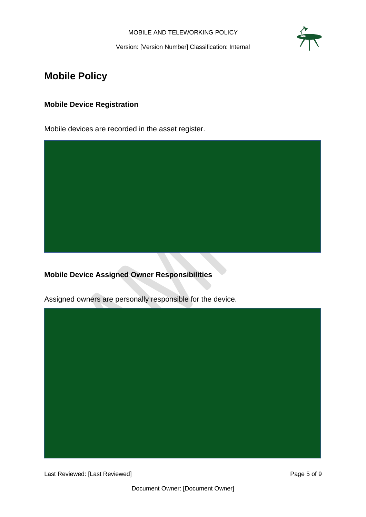

Version: [Version Number] Classification: Internal

# <span id="page-4-0"></span>**Mobile Policy**

#### <span id="page-4-1"></span>**Mobile Device Registration**

Mobile devices are recorded in the asset register.



<span id="page-4-2"></span>**Mobile Device Assigned Owner Responsibilities**

Assigned owners are personally responsible for the device.



Last Reviewed: [Last Reviewed] example 2014 and 2015 of 9 Page 5 of 9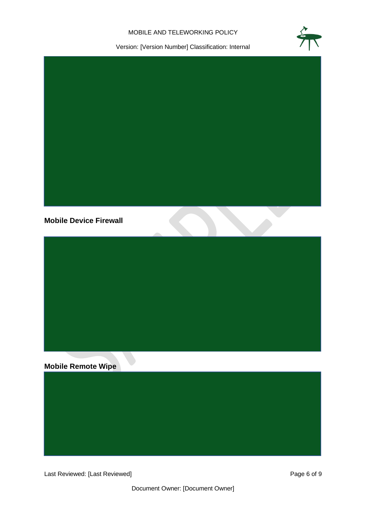

Version: [Version Number] Classification: Internal



#### <span id="page-5-0"></span>**Mobile Device Firewall**



#### <span id="page-5-1"></span>**Mobile Remote Wipe**

Last Reviewed: [Last Reviewed] example 2014 and 2015 and 2014 and 2015 and 2019 and 2019 and 2019 and 2019 and 2019 and 2019 and 2019 and 2019 and 2019 and 2019 and 2019 and 2019 and 2019 and 2019 and 2019 and 2019 and 201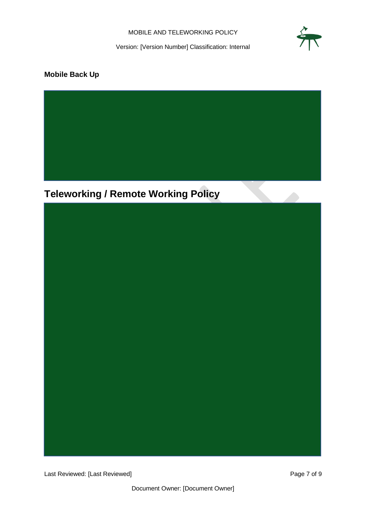Version: [Version Number] Classification: Internal

#### <span id="page-6-0"></span>**Mobile Back Up**

<span id="page-6-1"></span>**Teleworking / Remote Working Policy**

Last Reviewed: [Last Reviewed] example 2 of 9 Page 7 of 9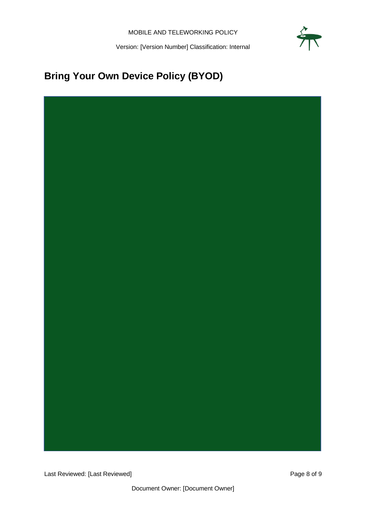# <span id="page-7-0"></span>**Bring Your Own Device Policy (BYOD)**